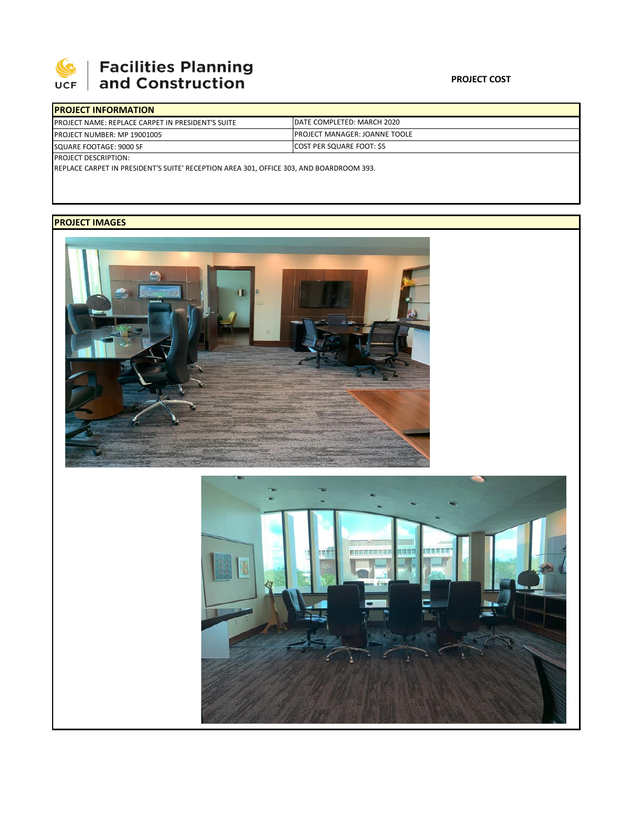

## | Facilities Planning<br>| and Construction

| <b>IPROJECT INFORMATION</b>                              |                                       |
|----------------------------------------------------------|---------------------------------------|
| <b>PROJECT NAME: REPLACE CARPET IN PRESIDENT'S SUITE</b> | IDATE COMPLETED: MARCH 2020           |
| <b>PROJECT NUMBER: MP 19001005</b>                       | <b>IPROJECT MANAGER: JOANNE TOOLE</b> |
| SQUARE FOOTAGE: 9000 SF                                  | <b>COST PER SQUARE FOOT: \$5</b>      |
| <b>PROJECT DESCRIPTION:</b>                              |                                       |

REPLACE CARPET IN PRESIDENT'S SUITE' RECEPTION AREA 301, OFFICE 303, AND BOARDROOM 393.

## **PROJECT IMAGES**